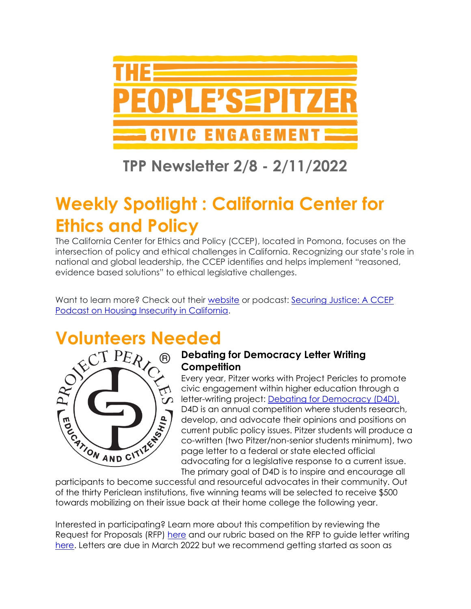

## **TPP Newsletter 2/8 - 2/11/2022**

# **Weekly Spotlight : California Center for Ethics and Policy**

The California Center for Ethics and Policy (CCEP), located in Pomona, focuses on the intersection of policy and ethical challenges in California. Recognizing our state's role in national and global leadership, the CCEP identifies and helps implement "reasoned, evidence based solutions" to ethical legislative challenges.

Want to learn more? Check out their [website](https://www.cpp.edu/class/ethics-and-policy-center/index.shtml) or podcast: [Securing Justice: A CCEP](https://ccepsecuringjustice.podbean.com/)  [Podcast on Housing Insecurity in California.](https://ccepsecuringjustice.podbean.com/)



### **Debating for Democracy Letter Writing Competition**

Every year, Pitzer works with Project Pericles to promote civic engagement within higher education through a letter-writing project: [Debating for Democracy \(D4D\).](https://www.pitzer.edu/cec/community-pillars/peoples-pitzer/debating-democracy/) D4D is an annual competition where students research, develop, and advocate their opinions and positions on current public policy issues. Pitzer students will produce a co-written (two Pitzer/non-senior students minimum), two page letter to a federal or state elected official advocating for a legislative response to a current issue. The primary goal of D4D is to inspire and encourage all

participants to become successful and resourceful advocates in their community. Out of the thirty Periclean institutions, five winning teams will be selected to receive \$500 towards mobilizing on their issue back at their home college the following year.

Interested in participating? Learn more about this competition by reviewing the Request for Proposals (RFP) [here](https://drive.google.com/file/d/1l-2bH00Sbyn9_FxA-j7HVGQgs8Zd2w0S/view?usp=sharing) and our rubric based on the RFP to guide letter writing [here.](https://drive.google.com/drive/u/1/folders/1Mra8zjcQ3qfLdgs1VEx9o7WKGUZn29I8) Letters are due in March 2022 but we recommend getting started as soon as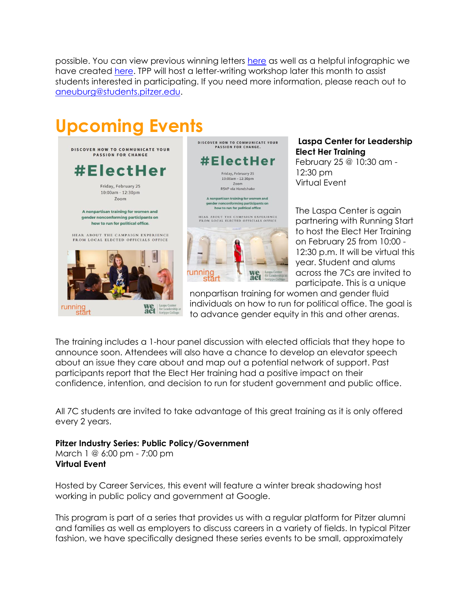possible. You can view previous winning letters [here](https://drive.google.com/drive/u/1/folders/18tiBphFq-Lrhr2OoR77evntyGY8dxgfY) as well as a helpful infographic we have created [here.](https://www.pitzer.edu/cec/wp-content/uploads/sites/54/2019/11/InfoGraphic.pdf) TPP will host a letter-writing workshop later this month to assist students interested in participating. If you need more information, please reach out to [aneuburg@students.pitzer.edu.](mailto:aneuburg@students.pitzer.edu)

# **Upcoming Events**



**Laspa Center for Leadership Elect Her Training** February 25 @ 10:30 am - 12:30 pm Virtual Event

The Laspa Center is again partnering with Running Start to host the Elect Her Training on February 25 from 10:00 - 12:30 p.m. It will be virtual this year. Student and alums across the 7Cs are invited to participate. This is a unique

nonpartisan training for women and gender fluid individuals on how to run for political office. The goal is to advance gender equity in this and other arenas.

The training includes a 1-hour panel discussion with elected officials that they hope to announce soon. Attendees will also have a chance to develop an elevator speech about an issue they care about and map out a potential network of support. Past participants report that the Elect Her training had a positive impact on their confidence, intention, and decision to run for student government and public office.

All 7C students are invited to take advantage of this great training as it is only offered every 2 years.

#### **Pitzer Industry Series: Public Policy/Government**

March 1 @ 6:00 pm - 7:00 pm **Virtual Event**

Hosted by Career Services, this event will feature a winter break shadowing host working in public policy and government at Google.

This program is part of a series that provides us with a regular platform for Pitzer alumni and families as well as employers to discuss careers in a variety of fields. In typical Pitzer fashion, we have specifically designed these series events to be small, approximately